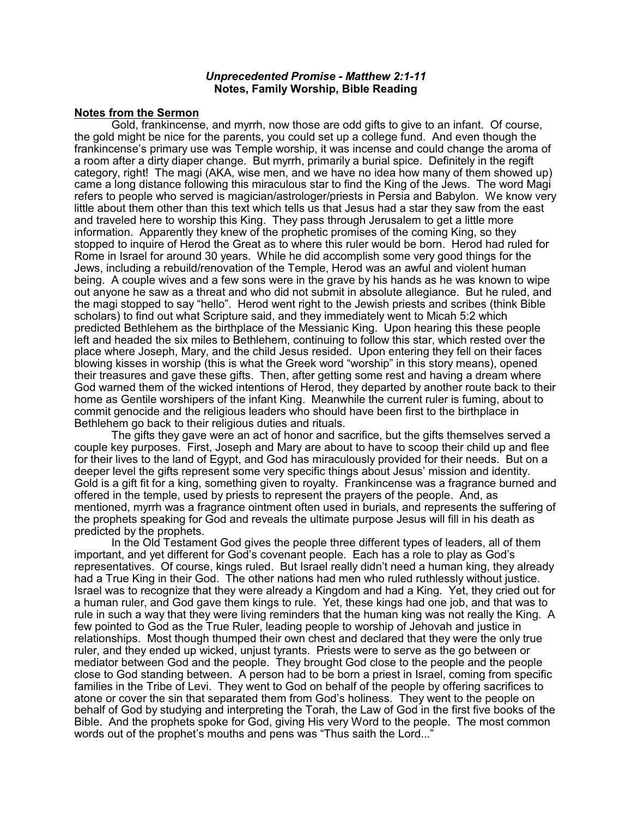#### *Unprecedented Promise - Matthew 2:1-11* **Notes, Family Worship, Bible Reading**

### **Notes from the Sermon**

Gold, frankincense, and myrrh, now those are odd gifts to give to an infant. Of course, the gold might be nice for the parents, you could set up a college fund. And even though the frankincense's primary use was Temple worship, it was incense and could change the aroma of a room after a dirty diaper change. But myrrh, primarily a burial spice. Definitely in the regift category, right! The magi (AKA, wise men, and we have no idea how many of them showed up) came a long distance following this miraculous star to find the King of the Jews. The word Magi refers to people who served is magician/astrologer/priests in Persia and Babylon. We know very little about them other than this text which tells us that Jesus had a star they saw from the east and traveled here to worship this King. They pass through Jerusalem to get a little more information. Apparently they knew of the prophetic promises of the coming King, so they stopped to inquire of Herod the Great as to where this ruler would be born. Herod had ruled for Rome in Israel for around 30 years. While he did accomplish some very good things for the Jews, including a rebuild/renovation of the Temple, Herod was an awful and violent human being. A couple wives and a few sons were in the grave by his hands as he was known to wipe out anyone he saw as a threat and who did not submit in absolute allegiance. But he ruled, and the magi stopped to say "hello". Herod went right to the Jewish priests and scribes (think Bible scholars) to find out what Scripture said, and they immediately went to Micah 5:2 which predicted Bethlehem as the birthplace of the Messianic King. Upon hearing this these people left and headed the six miles to Bethlehem, continuing to follow this star, which rested over the place where Joseph, Mary, and the child Jesus resided. Upon entering they fell on their faces blowing kisses in worship (this is what the Greek word "worship" in this story means), opened their treasures and gave these gifts. Then, after getting some rest and having a dream where God warned them of the wicked intentions of Herod, they departed by another route back to their home as Gentile worshipers of the infant King. Meanwhile the current ruler is fuming, about to commit genocide and the religious leaders who should have been first to the birthplace in Bethlehem go back to their religious duties and rituals.

The gifts they gave were an act of honor and sacrifice, but the gifts themselves served a couple key purposes. First, Joseph and Mary are about to have to scoop their child up and flee for their lives to the land of Egypt, and God has miraculously provided for their needs. But on a deeper level the gifts represent some very specific things about Jesus' mission and identity. Gold is a gift fit for a king, something given to royalty. Frankincense was a fragrance burned and offered in the temple, used by priests to represent the prayers of the people. And, as mentioned, myrrh was a fragrance ointment often used in burials, and represents the suffering of the prophets speaking for God and reveals the ultimate purpose Jesus will fill in his death as predicted by the prophets.

In the Old Testament God gives the people three different types of leaders, all of them important, and yet different for God's covenant people. Each has a role to play as God's representatives. Of course, kings ruled. But Israel really didn't need a human king, they already had a True King in their God. The other nations had men who ruled ruthlessly without justice. Israel was to recognize that they were already a Kingdom and had a King. Yet, they cried out for a human ruler, and God gave them kings to rule. Yet, these kings had one job, and that was to rule in such a way that they were living reminders that the human king was not really the King. A few pointed to God as the True Ruler, leading people to worship of Jehovah and justice in relationships. Most though thumped their own chest and declared that they were the only true ruler, and they ended up wicked, unjust tyrants. Priests were to serve as the go between or mediator between God and the people. They brought God close to the people and the people close to God standing between. A person had to be born a priest in Israel, coming from specific families in the Tribe of Levi. They went to God on behalf of the people by offering sacrifices to atone or cover the sin that separated them from God's holiness. They went to the people on behalf of God by studying and interpreting the Torah, the Law of God in the first five books of the Bible. And the prophets spoke for God, giving His very Word to the people. The most common words out of the prophet's mouths and pens was "Thus saith the Lord..."